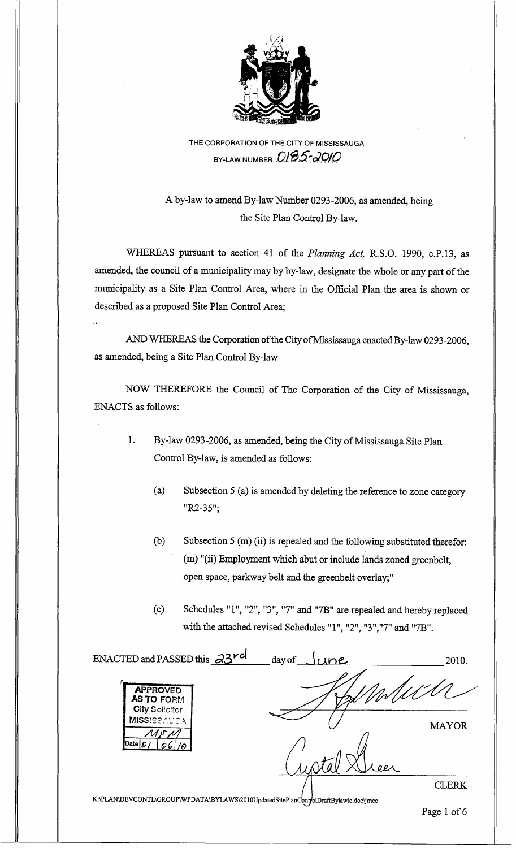

THE CORPORATION OF THE CITY OF MISSISSAUGA BY-LAW NUMBER  $0.05-2010$ 

A by-law to amend By-law Number 0293-2006, as amended, being the Site Plan Control By-law.

WHEREAS pursuant to section 41 of the *Planning Act,* R.S.O. 1990, c.P.13, as amended, the council of a municipality may by by-law, designate the whole or any part of the municipality as a Site Plan Control Area, where in the Official Plan the area is shown or described as a proposed Site Plan Control Area;

AND WHEREAS the Corporation of the City of Mississauga enacted By-law 0293-2006, as amended, being a Site Plan Control By-law

NOW THEREFORE the Council of The Corporation of the City of Mississauga, ENACTS as follows:

- 1. By-law 0293-2006, as amended, being the City of Mississauga Site Plan Control By-law, is amended as follows:
	- (a) Subsection 5 (a) is amended by deleting the reference to zone category *"R2-35";*
	- (b) Subsection 5 (m) (ii) is repealed and the following substituted therefor: (m) "(ii) Employment which abut or include lands zoned greenbelt, open space, parkway belt and the greenbelt overlay;"
	- (c) Schedules "1 ", "2", "3", "7" and "7B" are repealed and hereby replaced with the attached revised Schedules "1", "2", "3", "7" and "7B".

| ENACTED and PASSED this $a3^{rd}$<br>day of<br>ne                                     | 2010.        |
|---------------------------------------------------------------------------------------|--------------|
| <b>APPROVED</b><br><b>AS TO FORM</b><br><b>City Solicitor</b>                         |              |
| <b>MISSISSAUGA</b>                                                                    | <b>MAYOR</b> |
| /Date <i>O</i><br>06                                                                  |              |
| K:\PLAN\DEVCONTL\GROUP\WPDATA\BYLAWS\2010UpdatedSitePlanC\pntfolDraftBylawlc.doc\jmcc | <b>CLERK</b> |

Page 1 of 6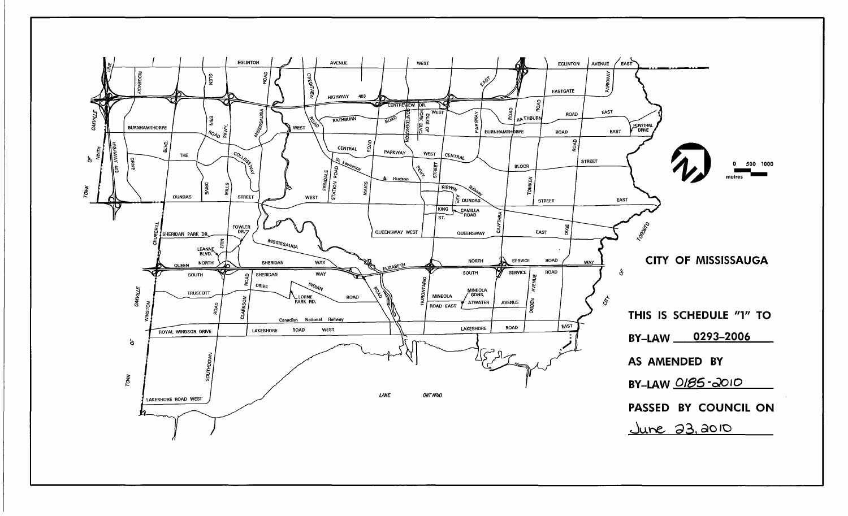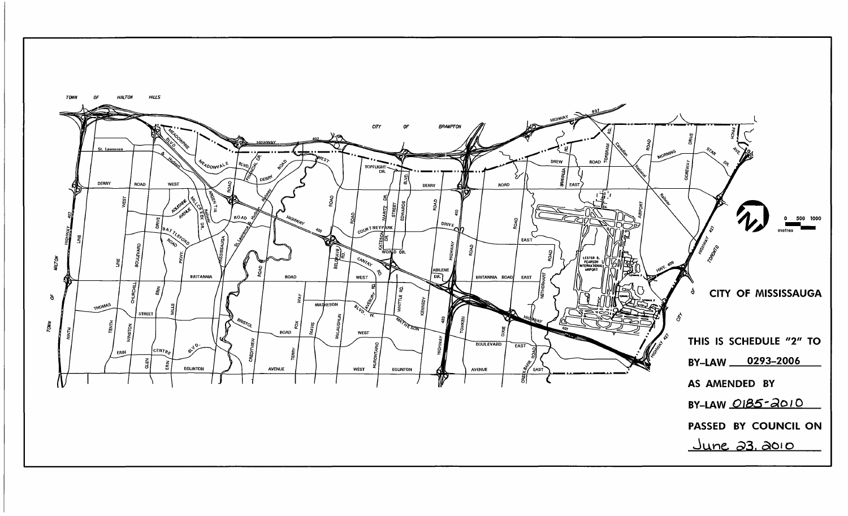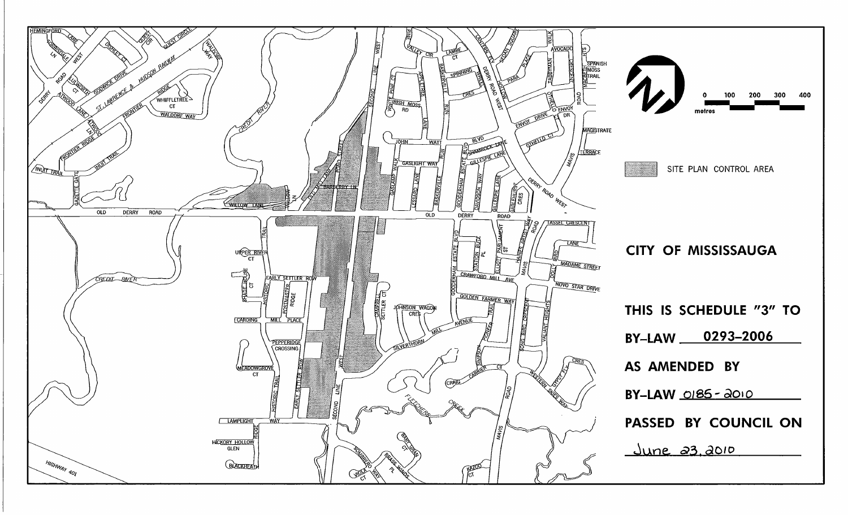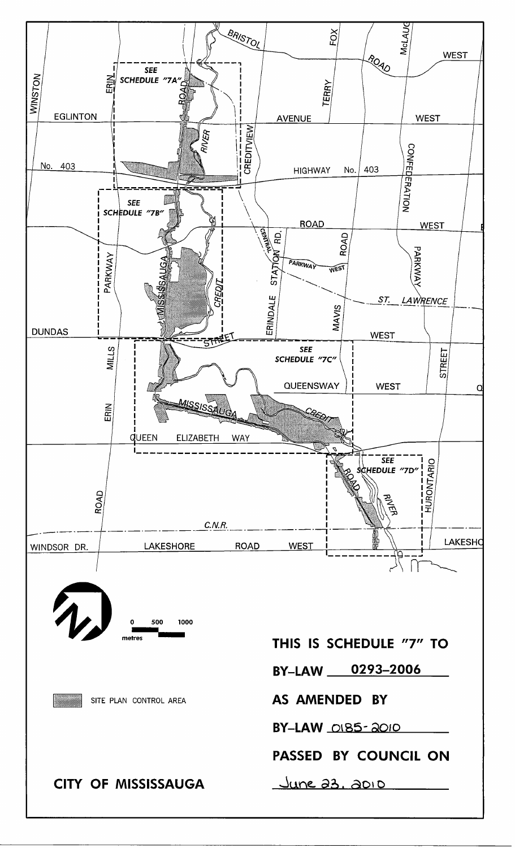